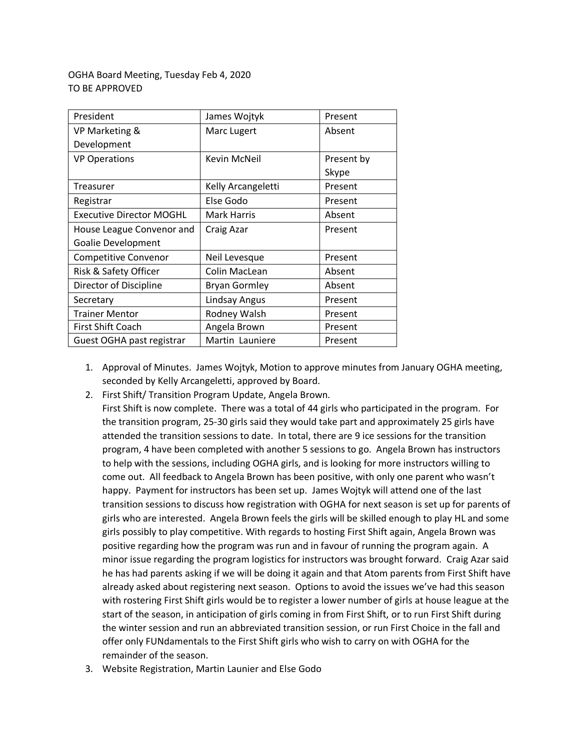## OGHA Board Meeting, Tuesday Feb 4, 2020 TO BE APPROVED

| President                       | James Wojtyk         | Present    |
|---------------------------------|----------------------|------------|
| VP Marketing &                  | Marc Lugert          | Absent     |
| Development                     |                      |            |
| <b>VP Operations</b>            | Kevin McNeil         | Present by |
|                                 |                      | Skype      |
| Treasurer                       | Kelly Arcangeletti   | Present    |
| Registrar                       | Else Godo            | Present    |
| <b>Executive Director MOGHL</b> | <b>Mark Harris</b>   | Absent     |
| House League Convenor and       | Craig Azar           | Present    |
| Goalie Development              |                      |            |
| <b>Competitive Convenor</b>     | Neil Levesque        | Present    |
| Risk & Safety Officer           | Colin MacLean        | Absent     |
| Director of Discipline          | <b>Bryan Gormley</b> | Absent     |
| Secretary                       | Lindsay Angus        | Present    |
| <b>Trainer Mentor</b>           | Rodney Walsh         | Present    |
| <b>First Shift Coach</b>        | Angela Brown         | Present    |
| Guest OGHA past registrar       | Martin Launiere      | Present    |

- 1. Approval of Minutes. James Wojtyk, Motion to approve minutes from January OGHA meeting, seconded by Kelly Arcangeletti, approved by Board.
- 2. First Shift/ Transition Program Update, Angela Brown.

First Shift is now complete. There was a total of 44 girls who participated in the program. For the transition program, 25-30 girls said they would take part and approximately 25 girls have attended the transition sessions to date. In total, there are 9 ice sessions for the transition program, 4 have been completed with another 5 sessions to go. Angela Brown has instructors to help with the sessions, including OGHA girls, and is looking for more instructors willing to come out. All feedback to Angela Brown has been positive, with only one parent who wasn't happy. Payment for instructors has been set up. James Wojtyk will attend one of the last transition sessions to discuss how registration with OGHA for next season is set up for parents of girls who are interested. Angela Brown feels the girls will be skilled enough to play HL and some girls possibly to play competitive. With regards to hosting First Shift again, Angela Brown was positive regarding how the program was run and in favour of running the program again. A minor issue regarding the program logistics for instructors was brought forward. Craig Azar said he has had parents asking if we will be doing it again and that Atom parents from First Shift have already asked about registering next season. Options to avoid the issues we've had this season with rostering First Shift girls would be to register a lower number of girls at house league at the start of the season, in anticipation of girls coming in from First Shift, or to run First Shift during the winter session and run an abbreviated transition session, or run First Choice in the fall and offer only FUNdamentals to the First Shift girls who wish to carry on with OGHA for the remainder of the season.

3. Website Registration, Martin Launier and Else Godo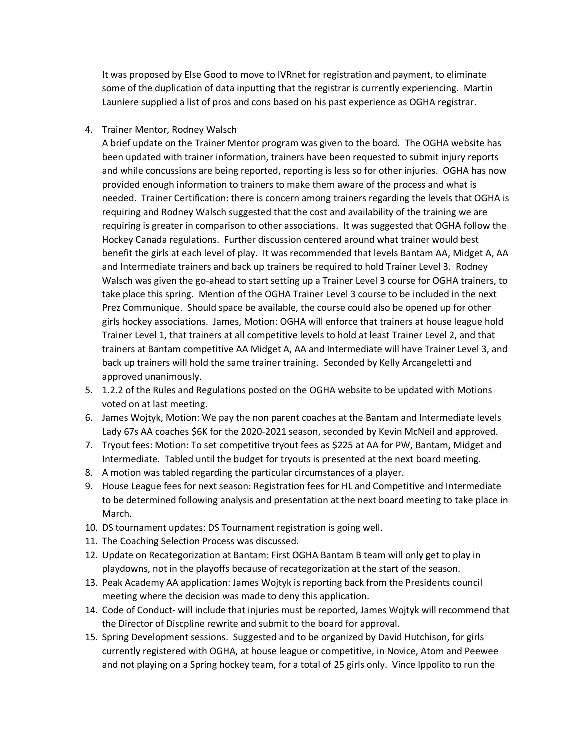It was proposed by Else Good to move to IVRnet for registration and payment, to eliminate some of the duplication of data inputting that the registrar is currently experiencing. Martin Launiere supplied a list of pros and cons based on his past experience as OGHA registrar.

4. Trainer Mentor, Rodney Walsch

A brief update on the Trainer Mentor program was given to the board. The OGHA website has been updated with trainer information, trainers have been requested to submit injury reports and while concussions are being reported, reporting is less so for other injuries. OGHA has now provided enough information to trainers to make them aware of the process and what is needed. Trainer Certification: there is concern among trainers regarding the levels that OGHA is requiring and Rodney Walsch suggested that the cost and availability of the training we are requiring is greater in comparison to other associations. It was suggested that OGHA follow the Hockey Canada regulations. Further discussion centered around what trainer would best benefit the girls at each level of play. It was recommended that levels Bantam AA, Midget A, AA and Intermediate trainers and back up trainers be required to hold Trainer Level 3. Rodney Walsch was given the go-ahead to start setting up a Trainer Level 3 course for OGHA trainers, to take place this spring. Mention of the OGHA Trainer Level 3 course to be included in the next Prez Communique. Should space be available, the course could also be opened up for other girls hockey associations. James, Motion: OGHA will enforce that trainers at house league hold Trainer Level 1, that trainers at all competitive levels to hold at least Trainer Level 2, and that trainers at Bantam competitive AA Midget A, AA and Intermediate will have Trainer Level 3, and back up trainers will hold the same trainer training. Seconded by Kelly Arcangeletti and approved unanimously.

- 5. 1.2.2 of the Rules and Regulations posted on the OGHA website to be updated with Motions voted on at last meeting.
- 6. James Wojtyk, Motion: We pay the non parent coaches at the Bantam and Intermediate levels Lady 67s AA coaches \$6K for the 2020-2021 season, seconded by Kevin McNeil and approved.
- 7. Tryout fees: Motion: To set competitive tryout fees as \$225 at AA for PW, Bantam, Midget and Intermediate. Tabled until the budget for tryouts is presented at the next board meeting.
- 8. A motion was tabled regarding the particular circumstances of a player.
- 9. House League fees for next season: Registration fees for HL and Competitive and Intermediate to be determined following analysis and presentation at the next board meeting to take place in March.
- 10. DS tournament updates: DS Tournament registration is going well.
- 11. The Coaching Selection Process was discussed.
- 12. Update on Recategorization at Bantam: First OGHA Bantam B team will only get to play in playdowns, not in the playoffs because of recategorization at the start of the season.
- 13. Peak Academy AA application: James Wojtyk is reporting back from the Presidents council meeting where the decision was made to deny this application.
- 14. Code of Conduct- will include that injuries must be reported, James Wojtyk will recommend that the Director of Discpline rewrite and submit to the board for approval.
- 15. Spring Development sessions. Suggested and to be organized by David Hutchison, for girls currently registered with OGHA, at house league or competitive, in Novice, Atom and Peewee and not playing on a Spring hockey team, for a total of 25 girls only. Vince Ippolito to run the